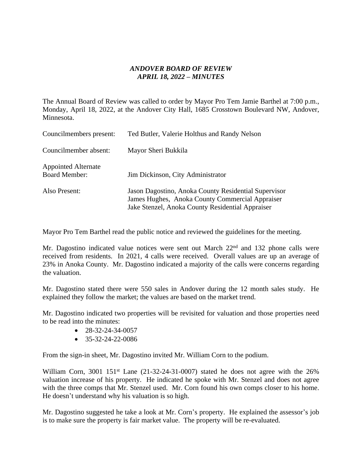## *ANDOVER BOARD OF REVIEW APRIL 18, 2022 – MINUTES*

The Annual Board of Review was called to order by Mayor Pro Tem Jamie Barthel at 7:00 p.m., Monday, April 18, 2022, at the Andover City Hall, 1685 Crosstown Boulevard NW, Andover, Minnesota.

| Councilmembers present:                            | Ted Butler, Valerie Holthus and Randy Nelson                                                                                                                |  |
|----------------------------------------------------|-------------------------------------------------------------------------------------------------------------------------------------------------------------|--|
| Councilmember absent:                              | Mayor Sheri Bukkila                                                                                                                                         |  |
| <b>Appointed Alternate</b><br><b>Board Member:</b> | Jim Dickinson, City Administrator                                                                                                                           |  |
| Also Present:                                      | Jason Dagostino, Anoka County Residential Supervisor<br>James Hughes, Anoka County Commercial Appraiser<br>Jake Stenzel, Anoka County Residential Appraiser |  |

Mayor Pro Tem Barthel read the public notice and reviewed the guidelines for the meeting.

Mr. Dagostino indicated value notices were sent out March 22<sup>nd</sup> and 132 phone calls were received from residents. In 2021, 4 calls were received. Overall values are up an average of 23% in Anoka County. Mr. Dagostino indicated a majority of the calls were concerns regarding the valuation.

Mr. Dagostino stated there were 550 sales in Andover during the 12 month sales study. He explained they follow the market; the values are based on the market trend.

Mr. Dagostino indicated two properties will be revisited for valuation and those properties need to be read into the minutes:

- $-28-32-24-34-0057$
- $\bullet$  35-32-24-22-0086

From the sign-in sheet, Mr. Dagostino invited Mr. William Corn to the podium.

William Corn,  $3001 \, 151$ <sup>st</sup> Lane  $(21-32-24-31-0007)$  stated he does not agree with the  $26\%$ valuation increase of his property. He indicated he spoke with Mr. Stenzel and does not agree with the three comps that Mr. Stenzel used. Mr. Corn found his own comps closer to his home. He doesn't understand why his valuation is so high.

Mr. Dagostino suggested he take a look at Mr. Corn's property. He explained the assessor's job is to make sure the property is fair market value. The property will be re-evaluated.